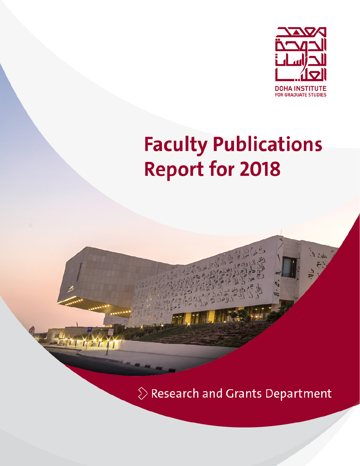

# **Faculty Publications Report for 2018**

 $\Diamond$  Research and Grants Department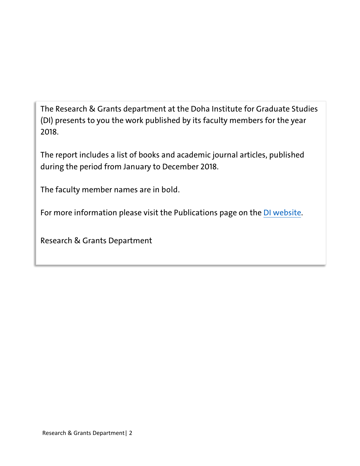The Research & Grants department at the Doha Institute for Graduate Studies (DI) presents to you the work published by its faculty members for the year 2018.

The report includes a list of books and academic journal articles, published during the period from January to December 2018.

The faculty member names are in bold.

For more information please visit the Publications page on the [DI website.](https://www.dohainstitute.edu.qa/EN/Research/FR/Pages/Publications.aspx)

Research & Grants Department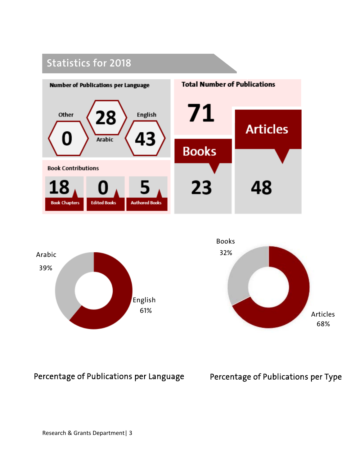## **Statistics for 2018**







Percentage of Publications per Language Percentage of Publications per Type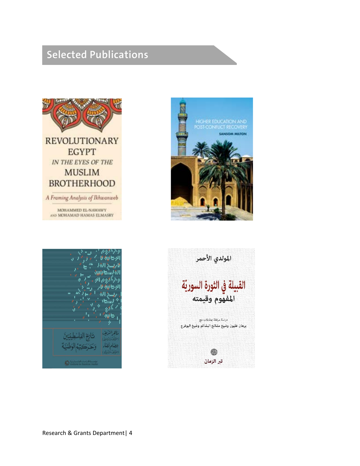## **Selected Publications**







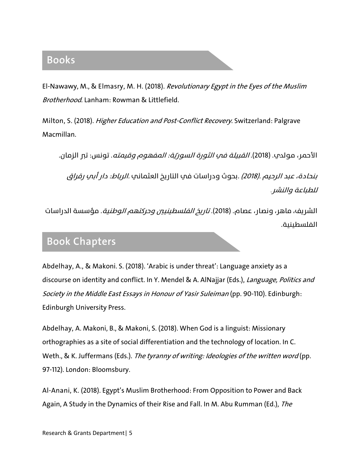#### **Books**

El-Nawawy, M., & Elmasry, M. H. (2018). Revolutionary Egypt in the Eyes of the Muslim Brotherhood. Lanham: Rowman & Littlefield.

Milton, S. (2018). Higher Education and Post-Conflict Recovery. Switzerland: Palgrave Macmillan.

الأحمر، مولدي. (2018). *القبيلة فمي الثورة السوريّة: المفهوم وقيمته*. تونس: تبر الزمان.

*بنحادة، عبد الرحيم .(2018) .*بحوث ودراسات في التاريخ العثماني *.الرباط: دار أبي رقراق* للطباعة والنشر.

الشريف، ماهر، ونصار، عصاه. (2018). *تاريخ الفلسطينيين وحركتهم الوطنية*. مؤسسة الدراسات الفلسطينية.

#### **Book Chapters**

Abdelhay, A., & Makoni. S. (2018). 'Arabic is under threat': Language anxiety as a discourse on identity and conflict. In Y. Mendel & A. AlNajjar (Eds.), Language, Politics and Society in the Middle East Essays in Honour of Yasir Suleiman (pp. 90-110). Edinburgh: Edinburgh University Press.

Abdelhay, A. Makoni, B., & Makoni, S. (2018). When God is a linguist: Missionary orthographies as a site of social differentiation and the technology of location. In C. Weth., & K. Juffermans (Eds.). The tyranny of writing: Ideologies of the written word (pp. 97-112). London: Bloomsbury.

Al-Anani, K. (2018). Egypt's Muslim Brotherhood: From Opposition to Power and Back Again, A Study in the Dynamics of their Rise and Fall. In M. Abu Rumman (Ed.), The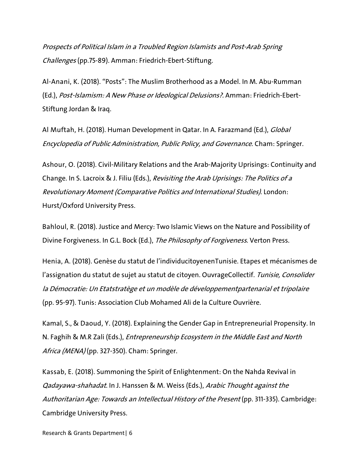Prospects of Political Islam in a Troubled Region Islamists and Post-Arab Spring Challenges (pp.75-89). Amman: Friedrich-Ebert-Stiftung.

Al-Anani, K. (2018). "Posts": The Muslim Brotherhood as a Model. In M. Abu-Rumman (Ed.), Post-Islamism: A New Phase or Ideological Delusions?. Amman: Friedrich-Ebert-Stiftung Jordan & Iraq.

Al Muftah, H. (2018). Human Development in Qatar. In A. Farazmand (Ed.), *Global* Encyclopedia of Public Administration, Public Policy, and Governance. Cham: Springer.

Ashour, O. (2018). Civil-Military Relations and the Arab-Majority Uprisings: Continuity and Change. In S. Lacroix & J. Filiu (Eds.), Revisiting the Arab Uprisings: The Politics of a Revolutionary Moment (Comparative Politics and International Studies). London: Hurst/Oxford University Press.

Bahloul, R. (2018). Justice and Mercy: Two Islamic Views on the Nature and Possibility of Divine Forgiveness. In G.L. Bock (Ed.), The Philosophy of Forgiveness. Verton Press.

Henia, A. (2018). Genèse du statut de l'individucitoyenenTunisie. Etapes et mécanismes de l'assignation du statut de sujet au statut de citoyen. OuvrageCollectif. Tunisie, Consolider la Démocratie: Un Etatstratège et un modèle de développementpartenarial et tripolaire (pp. 95-97). Tunis: Association Club Mohamed Ali de la Culture Ouvrière.

Kamal, S., & Daoud, Y. (2018). Explaining the Gender Gap in Entrepreneurial Propensity. In N. Faghih & M.R Zali (Eds.), Entrepreneurship Ecosystem in the Middle East and North Africa (MENA) (pp. 327-350). Cham: Springer.

Kassab, E. (2018). Summoning the Spirit of Enlightenment: On the Nahda Revival in Qadayawa-shahadat. In J. Hanssen & M. Weiss (Eds.), Arabic Thought against the Authoritarian Age: Towards an Intellectual History of the Present (pp. 311-335). Cambridge: Cambridge University Press.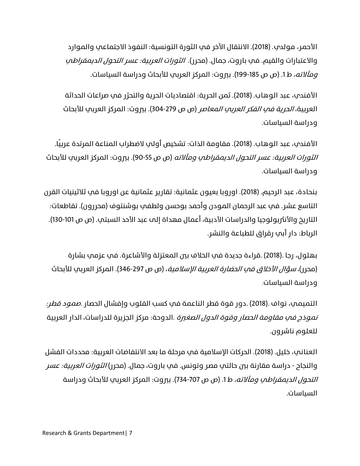الأحمر، مولدي. (2018). الانتقال الآخر في الثورة التونسية: النفوذ الاجتماعي والموارد والاعتبارات والقيم. في باروت، جمال. (محرر). *الثورات العربية: عسر التحول الديمقراطي* و*مآلاته،* ط1. (ص ص 185-199). بيروت: المركز العربي للأبحاث ودراسة السياسات.

الأفندي، عبد الوهاب. (2018). ثمن الحرية: اقتصاديات الحرية والتحرّر في صراعات الحداثة العربية، *الحرية في الفكر العربي المعاص*ر (ص ص 279-304). بيروت: المركز العربي للأبحاث ودراسة السياسات.

الأفندي، عبد الوهاب. (2018). مقاومة الذات: تشخيص أولي لاضطراب المناعة المرتدة عربيًا. ا*لثورات العربية: عسر التحول الديمقراطي ومآلاته* (ص ص 55-90). بيروت: المركز العربي للأبحاث ودراسة السياسات.

بنحادة، عبد الرحيم. (2018). اوروبا بعيون عثمانية: تقارير عثمانية عن اوروبا في ثلاثينيات القرن التاسع عشر. في عبد الرحمان المودن وأحمد بوحسن ولطفي بوشنتوف (محررون). تقاطعات: التاريخ والأنثربولوجيا والدراسات الأدبية، أعمال مهداة إلى عبد الأحد السبتي. (ص ص 101-130). الر�اط: دار أبي رقراق للطباعة والنشر.

بهلول، رجا .(2018) .قراءة جديدة في الخلاف بين المعتزلة والأشاعرة. في عزمي بشارة (محرر)، *سؤال الأخلاق في الحضارة العربية الإسلامية*، (ص ص 297-346). المركز العربي للأبحاث ودراسة السياسات.

التميمي، نواف .(2018) .دور قوة قطر الناعمة في كسب القلوب وإفشال الحصار .صمود قطر: *نموذج في مقاومة الحصار وقوة الدول الصغرة* .الدوحة: مركز الجزيرة للدراسات، الدار العربية للعلوم ناشرون.

العناني، خليل. (2018). الحركات الإسلامية في مرحلة ما بعد الانتفاضات العر�تية: محددات الفشل والنجاح - دراسة مقارنة بين حالتي مصر وتونس. في باروت، جمال. (محرر) *الثورات العربية: عسر* ا*لتحول الديمقراطي ومآلاته،* ط 1. (ص ص 707-734). بيروت: المركز العربي للأبحاث ودراسة السياسات.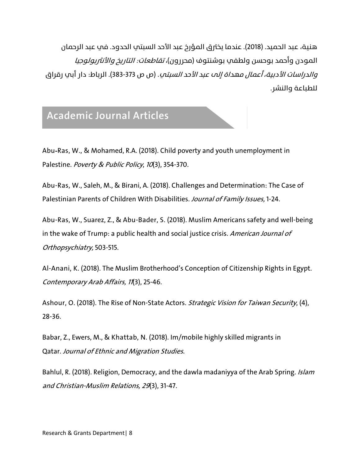هنية، عبد الحميد. (2018). عندما يخترق المؤرخ عبد الأحد السبتي الحدود. في عبد الرحمان المودن وأحمد بوحسن ولطفي بوشنتوف (محررون)، *تقاطعات: التاريخ والأنثريولوجيا* والدراسات الأدبية، أعمال مهداة إلى عبد الأحد السبتي. (ص ص 383-373). الر�اط: دار أبي رقراق للطباعة والنشر.

### **Academic Journal Articles**

Abu‐Ras, W., & Mohamed, R.A. (2018). Child poverty and youth unemployment in Palestine. Poverty & Public Policy, 10(3), 354-370.

Abu-Ras, W., Saleh, M., & Birani, A. (2018). Challenges and Determination: The Case of Palestinian Parents of Children With Disabilities. Journal of Family Issues, 1-24.

Abu-Ras, W., Suarez, Z., & Abu-Bader, S. (2018). Muslim Americans safety and well-being in the wake of Trump: a public health and social justice crisis. American Journal of Orthopsychiatry, 503-515.

Al-Anani, K. (2018). The Muslim Brotherhood's Conception of Citizenship Rights in Egypt. Contemporary Arab Affairs, <sup>11</sup>(3), 25-46.

Ashour, O. (2018). The Rise of Non-State Actors. Strategic Vision for Taiwan Security, (4), 28-36.

Babar, Z., Ewers, M., & Khattab, N. (2018). Im/mobile highly skilled migrants in Qatar. Journal of Ethnic and Migration Studies.

Bahlul, R. (2018). Religion, Democracy, and the dawla madaniyya of the Arab Spring. Islam and Christian-Muslim Relations, 29(3), 31-47.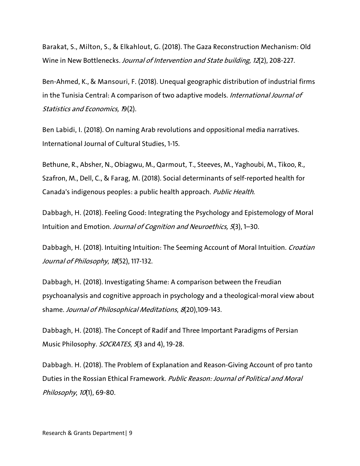Barakat, S., Milton, S., & Elkahlout, G. (2018). The Gaza Reconstruction Mechanism: Old Wine in New Bottlenecks. Journal of Intervention and State building, <sup>12</sup>(2), 208-227.

Ben-Ahmed, K., & Mansouri, F. (2018). Unequal geographic distribution of industrial firms in the Tunisia Central: A comparison of two adaptive models. International Journal of Statistics and Economics, 19(2).

Ben Labidi, I. (2018). On naming Arab revolutions and oppositional media narratives. International Journal of Cultural Studies, 1-15.

Bethune, R., Absher, N., Obiagwu, M., Qarmout, T., Steeves, M., Yaghoubi, M., Tikoo, R., Szafron, M., Dell, C., & Farag, M. (2018). Social determinants of self-reported health for Canada's indigenous peoples: a public health approach. Public Health.

Dabbagh, H. (2018). Feeling Good: Integrating the Psychology and Epistemology of Moral Intuition and Emotion. Journal of Cognition and Neuroethics, 5(3), 1–30.

Dabbagh, H. (2018). Intuiting Intuition: The Seeming Account of Moral Intuition. Croatian Journal of Philosophy, 18(52), 117-132.

Dabbagh, H. (2018). Investigating Shame: A comparison between the Freudian psychoanalysis and cognitive approach in psychology and a theological-moral view about shame. Journal of Philosophical Meditations, 8(20),109-143.

Dabbagh, H. (2018). The Concept of Radif and Three Important Paradigms of Persian Music Philosophy. SOCRATES, 5(3 and 4), 19-28.

Dabbagh. H. (2018). The Problem of Explanation and Reason-Giving Account of pro tanto Duties in the Rossian Ethical Framework. Public Reason: Journal of Political and Moral Philosophy, 10(1), 69-80.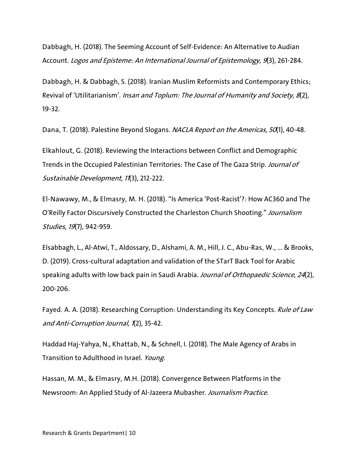Dabbagh, H. (2018). The Seeming Account of Self-Evidence: An Alternative to Audian Account. Logos and Episteme: An International Journal of Epistemology, <sup>9</sup>(3), 261-284.

Dabbagh, H. & Dabbagh, S. (2018). Iranian Muslim Reformists and Contemporary Ethics; Revival of 'Utilitarianism'. Insan and Toplum: The Journal of Humanity and Society, 8(2), 19-32.

Dana, T. (2018). Palestine Beyond Slogans. NACLA Report on the Americas, 50(1), 40-48.

Elkahlout, G. (2018). Reviewing the Interactions between Conflict and Demographic Trends in the Occupied Palestinian Territories: The Case of The Gaza Strip. Journal of Sustainable Development, 11(3), 212-222.

El-Nawawy, M., & Elmasry, M. H. (2018). "Is America 'Post-Racist'?: How AC360 and The O'Reilly Factor Discursively Constructed the Charleston Church Shooting." Journalism Studies, <sup>19</sup>(7), 942-959.

Elsabbagh, L., Al-Atwi, T., Aldossary, D., Alshami, A. M., Hill, J. C., Abu-Ras, W., ... & Brooks, D. (2019). Cross-cultural adaptation and validation of the STarT Back Tool for Arabic speaking adults with low back pain in Saudi Arabia. Journal of Orthopaedic Science, 24(2), 200-206.

Fayed. A. A. (2018). Researching Corruption: Understanding its Key Concepts. Rule of Law and Anti-Corruption Journal, 1(2), 35-42.

Haddad Haj-Yahya, N., Khattab, N., & Schnell, I. (2018). The Male Agency of Arabs in Transition to Adulthood in Israel. Young.

Hassan, M. M., & Elmasry, M.H. (2018). Convergence Between Platforms in the Newsroom: An Applied Study of Al-Jazeera Mubasher. Journalism Practice.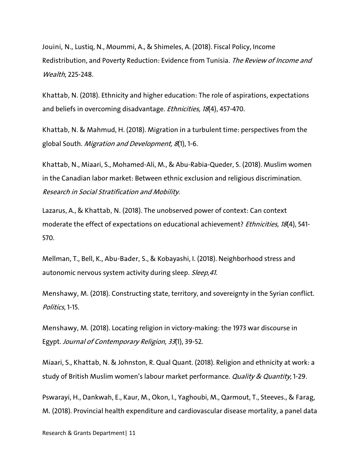Jouini, N., Lustiq, N., Moummi, A., & Shimeles, A. (2018). Fiscal Policy, Income Redistribution, and Poverty Reduction: Evidence from Tunisia. The Review of Income and Wealth, 225-248.

Khattab, N. (2018). Ethnicity and higher education: The role of aspirations, expectations and beliefs in overcoming disadvantage. *Ethnicities*, 18(4), 457-470.

Khattab, N. & Mahmud, H. (2018). Migration in a turbulent time: perspectives from the global South. Migration and Development, 8(1), 1-6.

Khattab, N., Miaari, S., Mohamed-Ali, M., & Abu-Rabia-Queder, S. (2018). Muslim women in the Canadian labor market: Between ethnic exclusion and religious discrimination. Research in Social Stratification and Mobility.

Lazarus, A., & Khattab, N. (2018). The unobserved power of context: Can context moderate the effect of expectations on educational achievement? *Ethnicities*, 18(4), 541-570.

Mellman, T., Bell, K., Abu-Bader, S., & Kobayashi, I. (2018). Neighborhood stress and autonomic nervous system activity during sleep. Sleep, 41.

Menshawy, M. (2018). Constructing state, territory, and sovereignty in the Syrian conflict. Politics, 1-15.

Menshawy, M. (2018). Locating religion in victory-making: the 1973 war discourse in Egypt. Journal of Contemporary Religion, 33(1), 39-52.

Miaari, S., Khattab, N. & Johnston, R. Qual Quant. (2018). Religion and ethnicity at work: a study of British Muslim women's labour market performance. Quality & Quantity, 1-29.

Pswarayi, H., Dankwah, E., Kaur, M., Okon, I., Yaghoubi, M., Qarmout, T., Steeves., & Farag, M. (2018). Provincial health expenditure and cardiovascular disease mortality, a panel data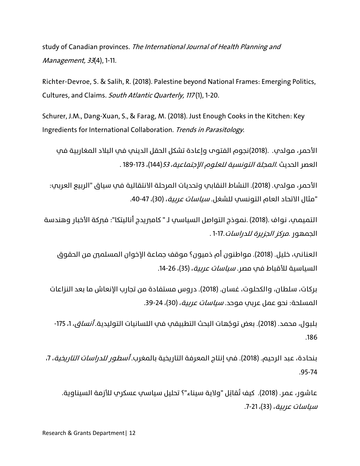study of Canadian provinces. The International Journal of Health Planning and Management, <sup>33</sup>(4), 1-11.

Richter-Devroe, S. & Salih, R. (2018). Palestine beyond National Frames: Emerging Politics, Cultures, and Claims. South Atlantic Quarterly, 117 (1), 1-20.

Schurer, J.M., Dang-Xuan, S., & Farag, M. (2018). Just Enough Cooks in the Kitchen: Key Ingredients for International Collaboration. Trends in Parasitology.

الأحمر، مولدي. .(2018)نجوم الفتوى وإعادة تشكل الحقل الديني في البلاد المغاربية في العصر الحديث .المجلة التونسية للعلوم الإجتماعية، 53(144)، 189-173 .

الأحمر، مولدي. (2018). النشاط النقابي وتحديات المرحلة الانتقالية في سياق "الربيع العربي: "مثال الاتحاد العام التونسي للشغل. *سياسات عربية*، (30)، 47-40.

التميمي، نواف .(2018) .نموذج التواصل السياسي لـ " كامبريدج أناليتكا": فبركة الأخبار وهندسة الجمهور .مركز الجز��رة للدراسات1-17. .

العناني، خليل. (2018). مواطنون أم ذميون؟ موقف جماعة الإخوان المسلمين من الحقوق السياسية للأقباط في مصر. *سياسات عربية*، (35)، 26-14.

بركات، سلطان، والكحلوت، غسان. (2018). دروس مستفادة من تجارب الإنعاش ما بعد النزاعات المسلحة: نحو عمل عربي موحد. *سياسات عربية*، (30)، 24-39.

بلبول، محمد. (2018). بعض توجّهات البحث التطبيقي في اللسانيات التوليدية. *أنساق*، 1، 175-.186

بنحادة، عبد الرحيم. (2018). في إنتاج المعرفة التاريخية بالمغرب. *أسطور للدراسات التاريخية*، 7، .95-74

عاشور، عمر. (2018). كيف تُقاتِل "ولاية سيناء"؟ تحليل سياسي عسكري للأزمة السيناوية. *سياسات عربية*، (33)، 21-7.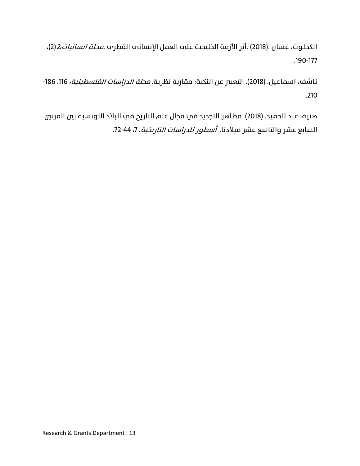الكحلوت، غسان .(2018) .أثر الأزمة الخليجية على العمل الإنساني القطري .مجلة انسانيات2،(2)، .190-177

ناشف، اسماعيل. (2018). التعبير عن النكبة: مقاربة نظرية. *مجلة الدراسات الفلسطينية،* 116، 186-.210

هنية، عبد الحميد. (2018). مظاهر التجديد في مجال علم التاريخ في البلاد التونسية بين القرنين السابع عشر والتاسع عشر ميلاديًا. *أسطور للدراسات التاريخية*، 7، 44-72.